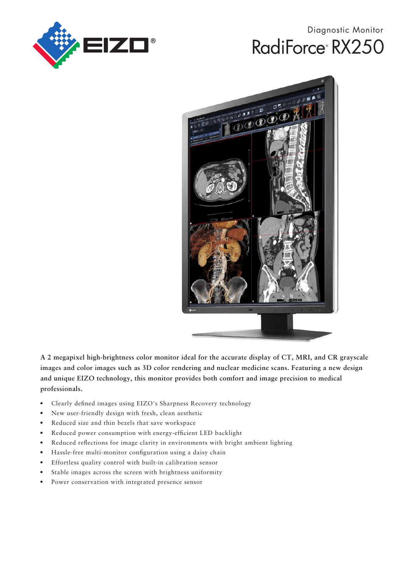

# Diagnostic Monitor RadiForce<sup>®</sup> RX250



**A 2 megapixel high-brightness color monitor ideal for the accurate display of CT, MRI, and CR grayscale images and color images such as 3D color rendering and nuclear medicine scans. Featuring a new design and unique EIZO technology, this monitor provides both comfort and image precision to medical professionals.**

- Clearly defined images using EIZO's Sharpness Recovery technology
- New user-friendly design with fresh, clean aesthetic
- Reduced size and thin bezels that save workspace
- Reduced power consumption with energy-efficient LED backlight
- Reduced reflections for image clarity in environments with bright ambient lighting
- Hassle-free multi-monitor configuration using a daisy chain
- Effortless quality control with built-in calibration sensor
- Stable images across the screen with brightness uniformity
- Power conservation with integrated presence sensor